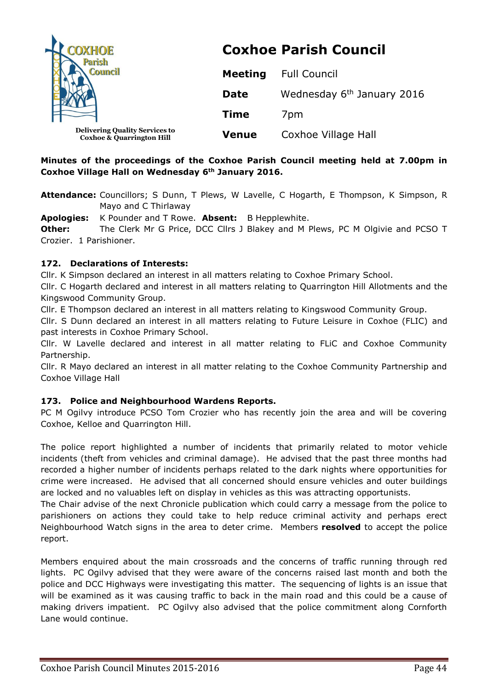| <b>OXHOE</b>                                                                  | <b>Coxhoe Parish Council</b> |                                        |  |  |  |
|-------------------------------------------------------------------------------|------------------------------|----------------------------------------|--|--|--|
|                                                                               | <b>Meeting</b>               | <b>Full Council</b>                    |  |  |  |
|                                                                               | <b>Date</b>                  | Wednesday 6 <sup>th</sup> January 2016 |  |  |  |
|                                                                               | <b>Time</b>                  | 7 <sub>pm</sub>                        |  |  |  |
| <b>Delivering Quality Services to</b><br><b>Coxhoe &amp; Quarrington Hill</b> | <b>Venue</b>                 | Coxhoe Village Hall                    |  |  |  |

# **Minutes of the proceedings of the Coxhoe Parish Council meeting held at 7.00pm in Coxhoe Village Hall on Wednesday 6th January 2016.**

**Attendance:** Councillors; S Dunn, T Plews, W Lavelle, C Hogarth, E Thompson, K Simpson, R Mayo and C Thirlaway

**Apologies:** K Pounder and T Rowe. **Absent:** B Hepplewhite.

**Other:** The Clerk Mr G Price, DCC Cllrs J Blakey and M Plews, PC M Olgivie and PCSO T Crozier. 1 Parishioner.

# **172. Declarations of Interests:**

Cllr. K Simpson declared an interest in all matters relating to Coxhoe Primary School.

Cllr. C Hogarth declared and interest in all matters relating to Quarrington Hill Allotments and the Kingswood Community Group.

Cllr. E Thompson declared an interest in all matters relating to Kingswood Community Group.

Cllr. S Dunn declared an interest in all matters relating to Future Leisure in Coxhoe (FLIC) and past interests in Coxhoe Primary School.

Cllr. W Lavelle declared and interest in all matter relating to FLiC and Coxhoe Community Partnership.

Cllr. R Mayo declared an interest in all matter relating to the Coxhoe Community Partnership and Coxhoe Village Hall

# **173. Police and Neighbourhood Wardens Reports.**

PC M Ogilvy introduce PCSO Tom Crozier who has recently join the area and will be covering Coxhoe, Kelloe and Quarrington Hill.

The police report highlighted a number of incidents that primarily related to motor vehicle incidents (theft from vehicles and criminal damage). He advised that the past three months had recorded a higher number of incidents perhaps related to the dark nights where opportunities for crime were increased. He advised that all concerned should ensure vehicles and outer buildings are locked and no valuables left on display in vehicles as this was attracting opportunists.

The Chair advise of the next Chronicle publication which could carry a message from the police to parishioners on actions they could take to help reduce criminal activity and perhaps erect Neighbourhood Watch signs in the area to deter crime. Members **resolved** to accept the police report.

Members enquired about the main crossroads and the concerns of traffic running through red lights. PC Ogilvy advised that they were aware of the concerns raised last month and both the police and DCC Highways were investigating this matter. The sequencing of lights is an issue that will be examined as it was causing traffic to back in the main road and this could be a cause of making drivers impatient. PC Ogilvy also advised that the police commitment along Cornforth Lane would continue.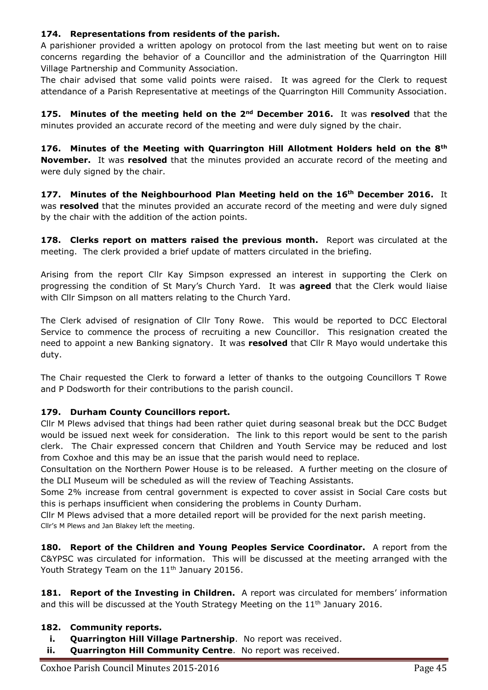# **174. Representations from residents of the parish.**

A parishioner provided a written apology on protocol from the last meeting but went on to raise concerns regarding the behavior of a Councillor and the administration of the Quarrington Hill Village Partnership and Community Association.

The chair advised that some valid points were raised. It was agreed for the Clerk to request attendance of a Parish Representative at meetings of the Quarrington Hill Community Association.

**175. Minutes of the meeting held on the 2nd December 2016.** It was **resolved** that the minutes provided an accurate record of the meeting and were duly signed by the chair.

**176. Minutes of the Meeting with Quarrington Hill Allotment Holders held on the 8th November.** It was **resolved** that the minutes provided an accurate record of the meeting and were duly signed by the chair.

**177. Minutes of the Neighbourhood Plan Meeting held on the 16th December 2016.** It was **resolved** that the minutes provided an accurate record of the meeting and were duly signed by the chair with the addition of the action points.

**178. Clerks report on matters raised the previous month.** Report was circulated at the meeting. The clerk provided a brief update of matters circulated in the briefing.

Arising from the report Cllr Kay Simpson expressed an interest in supporting the Clerk on progressing the condition of St Mary's Church Yard. It was **agreed** that the Clerk would liaise with Cllr Simpson on all matters relating to the Church Yard.

The Clerk advised of resignation of Cllr Tony Rowe. This would be reported to DCC Electoral Service to commence the process of recruiting a new Councillor. This resignation created the need to appoint a new Banking signatory. It was **resolved** that Cllr R Mayo would undertake this duty.

The Chair requested the Clerk to forward a letter of thanks to the outgoing Councillors T Rowe and P Dodsworth for their contributions to the parish council.

# **179. Durham County Councillors report.**

Cllr M Plews advised that things had been rather quiet during seasonal break but the DCC Budget would be issued next week for consideration. The link to this report would be sent to the parish clerk. The Chair expressed concern that Children and Youth Service may be reduced and lost from Coxhoe and this may be an issue that the parish would need to replace.

Consultation on the Northern Power House is to be released. A further meeting on the closure of the DLI Museum will be scheduled as will the review of Teaching Assistants.

Some 2% increase from central government is expected to cover assist in Social Care costs but this is perhaps insufficient when considering the problems in County Durham.

Cllr M Plews advised that a more detailed report will be provided for the next parish meeting. Cllr's M Plews and Jan Blakey left the meeting.

**180. Report of the Children and Young Peoples Service Coordinator.** A report from the C&YPSC was circulated for information. This will be discussed at the meeting arranged with the Youth Strategy Team on the 11<sup>th</sup> January 20156.

**181. Report of the Investing in Children.** A report was circulated for members' information and this will be discussed at the Youth Strategy Meeting on the 11<sup>th</sup> January 2016.

# **182. Community reports.**

- **i. Quarrington Hill Village Partnership**. No report was received.
- **ii. Quarrington Hill Community Centre**. No report was received.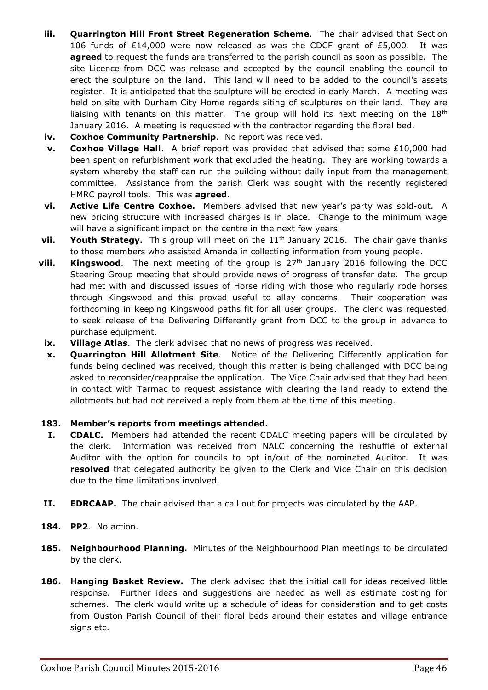- **iii. Quarrington Hill Front Street Regeneration Scheme**. The chair advised that Section 106 funds of £14,000 were now released as was the CDCF grant of £5,000. It was **agreed** to request the funds are transferred to the parish council as soon as possible. The site Licence from DCC was release and accepted by the council enabling the council to erect the sculpture on the land. This land will need to be added to the council's assets register. It is anticipated that the sculpture will be erected in early March. A meeting was held on site with Durham City Home regards siting of sculptures on their land. They are liaising with tenants on this matter. The group will hold its next meeting on the  $18<sup>th</sup>$ January 2016. A meeting is requested with the contractor regarding the floral bed.
- **iv. Coxhoe Community Partnership**. No report was received.
- **v. Coxhoe Village Hall**. A brief report was provided that advised that some £10,000 had been spent on refurbishment work that excluded the heating. They are working towards a system whereby the staff can run the building without daily input from the management committee. Assistance from the parish Clerk was sought with the recently registered HMRC payroll tools. This was **agreed**.
- **vi. Active Life Centre Coxhoe.** Members advised that new year's party was sold-out. A new pricing structure with increased charges is in place. Change to the minimum wage will have a significant impact on the centre in the next few years.
- **vii.** Youth Strategy. This group will meet on the 11<sup>th</sup> January 2016. The chair gave thanks to those members who assisted Amanda in collecting information from young people.
- **viii. Kingswood**. The next meeting of the group is 27<sup>th</sup> January 2016 following the DCC Steering Group meeting that should provide news of progress of transfer date. The group had met with and discussed issues of Horse riding with those who regularly rode horses through Kingswood and this proved useful to allay concerns. Their cooperation was forthcoming in keeping Kingswood paths fit for all user groups. The clerk was requested to seek release of the Delivering Differently grant from DCC to the group in advance to purchase equipment.
- **ix. Village Atlas**. The clerk advised that no news of progress was received.
- **x. Quarrington Hill Allotment Site**. Notice of the Delivering Differently application for funds being declined was received, though this matter is being challenged with DCC being asked to reconsider/reappraise the application. The Vice Chair advised that they had been in contact with Tarmac to request assistance with clearing the land ready to extend the allotments but had not received a reply from them at the time of this meeting.

# **183. Member's reports from meetings attended.**

- **I. CDALC.** Members had attended the recent CDALC meeting papers will be circulated by the clerk. Information was received from NALC concerning the reshuffle of external Auditor with the option for councils to opt in/out of the nominated Auditor. It was **resolved** that delegated authority be given to the Clerk and Vice Chair on this decision due to the time limitations involved.
- **II. EDRCAAP.** The chair advised that a call out for projects was circulated by the AAP.
- **184. PP2**. No action.
- **185. Neighbourhood Planning.** Minutes of the Neighbourhood Plan meetings to be circulated by the clerk.
- **186. Hanging Basket Review.** The clerk advised that the initial call for ideas received little response. Further ideas and suggestions are needed as well as estimate costing for schemes. The clerk would write up a schedule of ideas for consideration and to get costs from Ouston Parish Council of their floral beds around their estates and village entrance signs etc.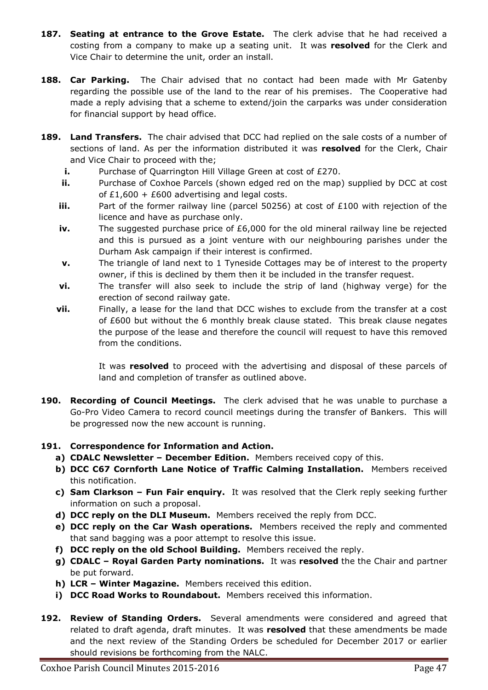- **187. Seating at entrance to the Grove Estate.** The clerk advise that he had received a costing from a company to make up a seating unit. It was **resolved** for the Clerk and Vice Chair to determine the unit, order an install.
- **188. Car Parking.** The Chair advised that no contact had been made with Mr Gatenby regarding the possible use of the land to the rear of his premises. The Cooperative had made a reply advising that a scheme to extend/join the carparks was under consideration for financial support by head office.
- **189. Land Transfers.** The chair advised that DCC had replied on the sale costs of a number of sections of land. As per the information distributed it was **resolved** for the Clerk, Chair and Vice Chair to proceed with the;
	- **i.** Purchase of Quarrington Hill Village Green at cost of £270.
	- **ii.** Purchase of Coxhoe Parcels (shown edged red on the map) supplied by DCC at cost of  $£1,600 + £600$  advertising and legal costs.
	- **iii.** Part of the former railway line (parcel 50256) at cost of £100 with rejection of the licence and have as purchase only.
	- **iv.** The suggested purchase price of £6,000 for the old mineral railway line be rejected and this is pursued as a joint venture with our neighbouring parishes under the Durham Ask campaign if their interest is confirmed.
	- **v.** The triangle of land next to 1 Tyneside Cottages may be of interest to the property owner, if this is declined by them then it be included in the transfer request.
	- **vi.** The transfer will also seek to include the strip of land (highway verge) for the erection of second railway gate.
	- **vii.** Finally, a lease for the land that DCC wishes to exclude from the transfer at a cost of £600 but without the 6 monthly break clause stated. This break clause negates the purpose of the lease and therefore the council will request to have this removed from the conditions.

It was **resolved** to proceed with the advertising and disposal of these parcels of land and completion of transfer as outlined above.

**190. Recording of Council Meetings.** The clerk advised that he was unable to purchase a Go-Pro Video Camera to record council meetings during the transfer of Bankers. This will be progressed now the new account is running.

# **191. Correspondence for Information and Action.**

- **a) CDALC Newsletter – December Edition.** Members received copy of this.
- **b) DCC C67 Cornforth Lane Notice of Traffic Calming Installation.** Members received this notification.
- **c) Sam Clarkson – Fun Fair enquiry.** It was resolved that the Clerk reply seeking further information on such a proposal.
- **d) DCC reply on the DLI Museum.** Members received the reply from DCC.
- **e) DCC reply on the Car Wash operations.** Members received the reply and commented that sand bagging was a poor attempt to resolve this issue.
- **f) DCC reply on the old School Building.** Members received the reply.
- **g) CDALC – Royal Garden Party nominations.** It was **resolved** the the Chair and partner be put forward.
- **h) LCR – Winter Magazine.** Members received this edition.
- **i) DCC Road Works to Roundabout.** Members received this information.
- **192. Review of Standing Orders.** Several amendments were considered and agreed that related to draft agenda, draft minutes. It was **resolved** that these amendments be made and the next review of the Standing Orders be scheduled for December 2017 or earlier should revisions be forthcoming from the NALC.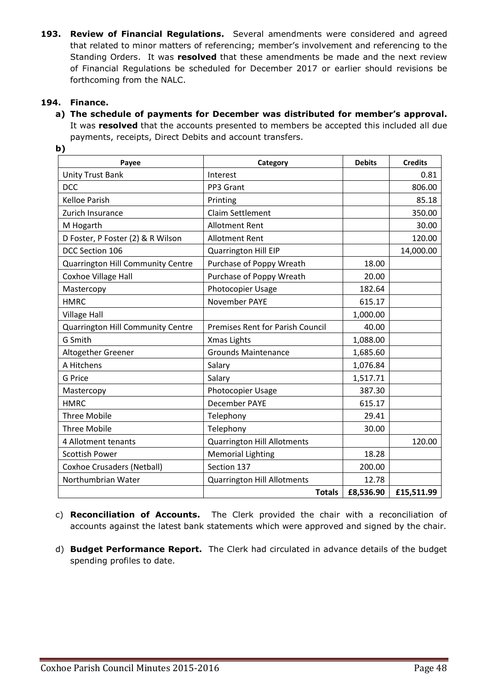**193. Review of Financial Regulations.** Several amendments were considered and agreed that related to minor matters of referencing; member's involvement and referencing to the Standing Orders. It was **resolved** that these amendments be made and the next review of Financial Regulations be scheduled for December 2017 or earlier should revisions be forthcoming from the NALC.

# **194. Finance.**

**a) The schedule of payments for December was distributed for member's approval.**  It was **resolved** that the accounts presented to members be accepted this included all due payments, receipts, Direct Debits and account transfers.

| Payee                                    | Category                                | <b>Debits</b> | <b>Credits</b> |
|------------------------------------------|-----------------------------------------|---------------|----------------|
| <b>Unity Trust Bank</b>                  | Interest                                |               | 0.81           |
| <b>DCC</b>                               | PP3 Grant                               |               | 806.00         |
| <b>Kelloe Parish</b>                     | Printing                                |               | 85.18          |
| Zurich Insurance                         | Claim Settlement                        |               | 350.00         |
| M Hogarth                                | <b>Allotment Rent</b>                   |               | 30.00          |
| D Foster, P Foster (2) & R Wilson        | <b>Allotment Rent</b>                   |               | 120.00         |
| DCC Section 106                          | Quarrington Hill EIP                    |               | 14,000.00      |
| Quarrington Hill Community Centre        | Purchase of Poppy Wreath                | 18.00         |                |
| Coxhoe Village Hall                      | Purchase of Poppy Wreath                | 20.00         |                |
| Mastercopy                               | Photocopier Usage                       | 182.64        |                |
| <b>HMRC</b>                              | November PAYE                           | 615.17        |                |
| <b>Village Hall</b>                      |                                         | 1,000.00      |                |
| <b>Quarrington Hill Community Centre</b> | <b>Premises Rent for Parish Council</b> | 40.00         |                |
| G Smith                                  | Xmas Lights                             | 1,088.00      |                |
| Altogether Greener                       | <b>Grounds Maintenance</b>              | 1,685.60      |                |
| A Hitchens                               | Salary                                  | 1,076.84      |                |
| <b>G</b> Price                           | Salary                                  | 1,517.71      |                |
| Mastercopy                               | Photocopier Usage                       | 387.30        |                |
| <b>HMRC</b>                              | December PAYE                           | 615.17        |                |
| <b>Three Mobile</b>                      | Telephony                               | 29.41         |                |
| <b>Three Mobile</b>                      | Telephony                               | 30.00         |                |
| 4 Allotment tenants                      | <b>Quarrington Hill Allotments</b>      |               | 120.00         |
| <b>Scottish Power</b>                    | <b>Memorial Lighting</b>                | 18.28         |                |
| <b>Coxhoe Crusaders (Netball)</b>        | Section 137                             | 200.00        |                |
| Northumbrian Water                       | <b>Quarrington Hill Allotments</b>      | 12.78         |                |
|                                          | <b>Totals</b>                           | £8,536.90     | £15,511.99     |

**b)**

- c) **Reconciliation of Accounts.** The Clerk provided the chair with a reconciliation of accounts against the latest bank statements which were approved and signed by the chair.
- d) **Budget Performance Report.** The Clerk had circulated in advance details of the budget spending profiles to date.